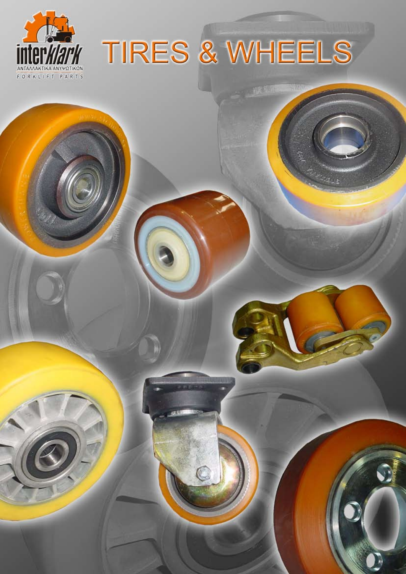

# TIRES & WHEELS

**NEW MINE** 

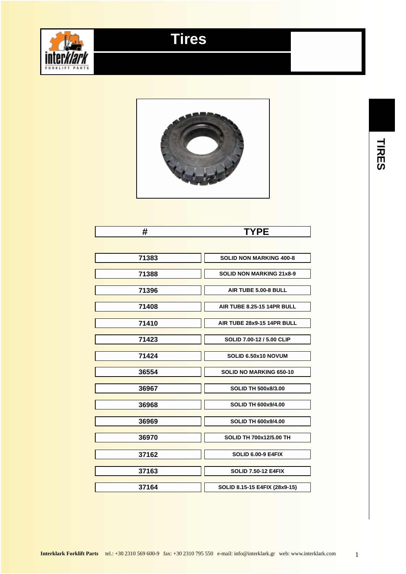

#### **Tires**



#### **# TYPE**

| 71383 | <b>SOLID NON MARKING 400-8</b>    |
|-------|-----------------------------------|
|       |                                   |
| 71388 | <b>SOLID NON MARKING 21x8-9</b>   |
|       |                                   |
| 71396 | AIR TUBE 5.00-8 BULL              |
|       |                                   |
| 71408 | <b>AIR TUBE 8.25-15 14PR BULL</b> |
|       |                                   |
| 71410 | AIR TUBE 28x9-15 14PR BULL        |
|       |                                   |
| 71423 | SOLID 7.00-12 / 5.00 CLIP         |
|       |                                   |
| 71424 | SOLID 6.50x10 NOVUM               |
|       |                                   |
| 36554 | SOLID NO MARKING 650-10           |
|       |                                   |
| 36967 | <b>SOLID TH 500x8/3.00</b>        |
|       |                                   |
| 36968 | <b>SOLID TH 600x9/4.00</b>        |
|       |                                   |
| 36969 | <b>SOLID TH 600x9/4.00</b>        |
|       |                                   |
| 36970 | <b>SOLID TH 700x12/5.00 TH</b>    |
|       |                                   |
| 37162 | <b>SOLID 6.00-9 E4FIX</b>         |
|       |                                   |
| 37163 | <b>SOLID 7.50-12 E4FIX</b>        |
|       |                                   |
| 37164 | SOLID 8.15-15 E4FIX (28x9-15)     |
|       |                                   |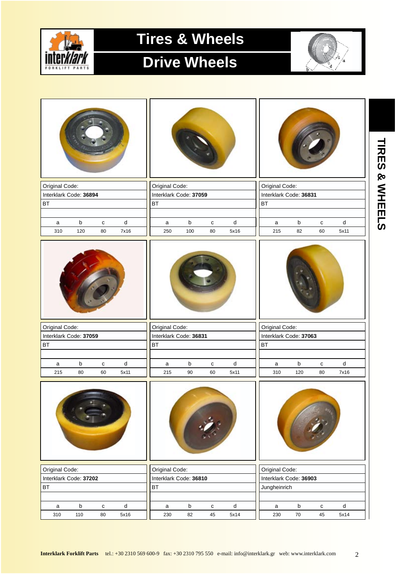

#### **Drive Wheels**



**TIRES & WHEELS**

TIRES & WHEELS

| Original Code:         |                    |                     |                   | Original Code:         |               |                 |                   |           | Original Code: |                        |                 |                   |
|------------------------|--------------------|---------------------|-------------------|------------------------|---------------|-----------------|-------------------|-----------|----------------|------------------------|-----------------|-------------------|
| Interklark Code: 36894 |                    |                     |                   | Interklark Code: 37059 |               |                 |                   |           |                | Interklark Code: 36831 |                 |                   |
| BT                     |                    |                     |                   | <b>BT</b>              |               |                 |                   | <b>BT</b> |                |                        |                 |                   |
|                        |                    |                     |                   |                        |               |                 |                   |           |                |                        |                 |                   |
| a                      | $\mathsf b$        | $\mathbf{C}$        | $\sf d$           | a                      | b             | $\mathbf{C}$    | ${\sf d}$         |           | a              | $\sf b$                | $\mathbf{C}$    | ${\sf d}$         |
| 310                    | 120                | 80                  | 7x16              | 250                    | 100           | 80              | 5x16              |           | 215            | 82                     | 60              | 5x11              |
|                        |                    |                     |                   |                        |               |                 |                   |           |                |                        |                 |                   |
| Original Code:         |                    |                     |                   | Original Code:         |               |                 |                   |           | Original Code: |                        |                 |                   |
| Interklark Code: 37059 |                    |                     |                   | Interklark Code: 36831 |               |                 |                   |           |                | Interklark Code: 37063 |                 |                   |
| BT                     |                    |                     |                   | <b>BT</b>              |               |                 |                   | <b>BT</b> |                |                        |                 |                   |
| a                      | $\sf b$            | $\mathbf{C}$        | ${\sf d}$         | a                      | $\sf b$       | c               | ${\sf d}$         |           | $\mathsf{a}$   | $\sf b$                | $\mathtt{C}$    | ${\sf d}$         |
| 215                    | 80                 | 60                  | 5x11              | 215                    | 90            | 60              | 5x11              |           | 310            | 120                    | 80              | 7x16              |
|                        |                    |                     |                   |                        |               |                 |                   |           |                |                        |                 |                   |
| Original Code:         |                    |                     |                   | Original Code:         |               |                 |                   |           | Original Code: |                        |                 |                   |
| Interklark Code: 37202 |                    |                     |                   | Interklark Code: 36810 |               |                 |                   |           |                | Interklark Code: 36903 |                 |                   |
| <b>BT</b>              |                    |                     |                   | BT                     |               |                 |                   |           | Jungheinrich   |                        |                 |                   |
|                        |                    |                     |                   |                        |               |                 |                   |           |                |                        |                 |                   |
| $\mathsf a$<br>310     | $\mathsf b$<br>110 | ${\bf c}$<br>$80\,$ | ${\sf d}$<br>5x16 | $\mathsf a$<br>230     | $\sf b$<br>82 | ${\bf c}$<br>45 | ${\sf d}$<br>5x14 |           | a<br>230       | $\mathsf b$<br>$70\,$  | ${\bf c}$<br>45 | ${\sf d}$<br>5x14 |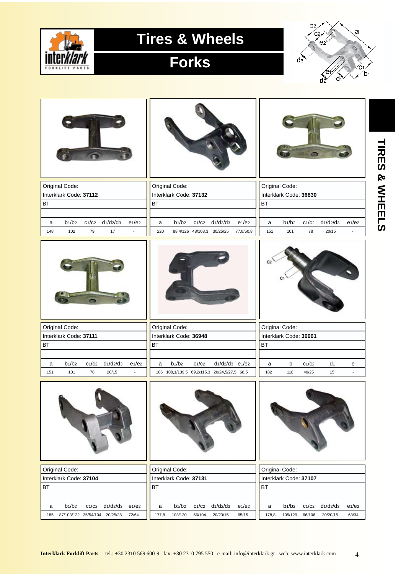

#### **Forks**



|           | Original Code:                           |       |               |                                |           | Original Code:                           |                            |                                              |                                |                | Original Code:                           |       |                |                                |
|-----------|------------------------------------------|-------|---------------|--------------------------------|-----------|------------------------------------------|----------------------------|----------------------------------------------|--------------------------------|----------------|------------------------------------------|-------|----------------|--------------------------------|
|           | Interklark Code: 37112                   |       |               |                                |           | Interklark Code: 37132                   |                            |                                              |                                |                | Interklark Code: 36830                   |       |                |                                |
| <b>BT</b> |                                          |       |               |                                | <b>BT</b> |                                          |                            |                                              |                                | <b>BT</b>      |                                          |       |                |                                |
|           |                                          |       |               |                                |           |                                          |                            |                                              |                                |                |                                          |       |                |                                |
| a         | $b_1/b_2$                                | C1/C2 | $d_1/d_2/d_3$ | e <sub>1</sub> /e <sub>2</sub> | a         | $b_1/b_2$                                | C1/C2                      | $d_1/d_2/d_3$                                | e <sub>1</sub> /e <sub>2</sub> | a              | $b_1/b_2$                                | C1/C2 | $d_1/d_2/d_3$  | e <sub>1</sub> /e <sub>2</sub> |
| 148       | 102                                      | 79    | 17            | $\overline{a}$                 | 220       |                                          | 88,4/126 48/108,3 30/25/25 |                                              | 77,8/50,8                      | 151            | 101                                      | 78    | 20/15          |                                |
|           |                                          |       |               |                                |           |                                          |                            |                                              |                                | C <sub>2</sub> |                                          |       |                |                                |
|           | Original Code:                           |       |               |                                |           | Original Code:                           |                            |                                              |                                |                | Original Code:                           |       |                |                                |
|           | Interklark Code: 37111                   |       |               |                                |           | Interklark Code: 36948                   |                            |                                              |                                |                | Interklark Code: 36961                   |       |                |                                |
| <b>BT</b> |                                          |       |               |                                | <b>BT</b> |                                          |                            |                                              |                                | <b>BT</b>      |                                          |       |                |                                |
|           |                                          |       |               |                                |           |                                          |                            |                                              |                                |                |                                          |       |                |                                |
| a         | $b_1/b_2$                                | C1/C2 | $d_1/d_2/d_3$ | e <sub>1</sub> /e <sub>2</sub> | a         | $b_1/b_2$                                | C1/C2                      | $d_1/d_2/d_3$ e1/e2                          |                                | a              | $\mathsf b$                              | C1/C2 | d <sub>1</sub> | e                              |
| 151       | 101                                      | 78    | 20/15         | $\Box$                         |           |                                          |                            |                                              |                                |                |                                          |       |                |                                |
|           |                                          |       |               |                                |           |                                          |                            | 186 108,1/139,5 69,2/115,3 20/24,5/27,5 68,5 |                                | 182            | 118                                      | 40/25 | 15             | $\blacksquare$                 |
|           |                                          |       |               |                                |           |                                          |                            |                                              |                                |                |                                          |       |                |                                |
|           |                                          |       |               |                                |           |                                          |                            |                                              |                                |                |                                          |       |                |                                |
|           | Original Code:<br>Interklark Code: 37104 |       |               |                                |           | Original Code:<br>Interklark Code: 37131 |                            |                                              |                                |                | Original Code:<br>Interklark Code: 37107 |       |                |                                |
| <b>BT</b> |                                          |       |               |                                | <b>BT</b> |                                          |                            |                                              |                                | <b>BT</b>      |                                          |       |                |                                |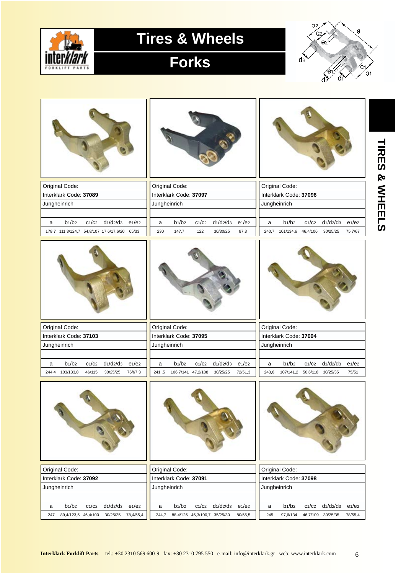

# **Forks**



| Original Code:                                                                                                                 | Original Code:                                                                                                                   | Original Code:                                                                                                                   |
|--------------------------------------------------------------------------------------------------------------------------------|----------------------------------------------------------------------------------------------------------------------------------|----------------------------------------------------------------------------------------------------------------------------------|
| Interklark Code: 37089                                                                                                         | Interklark Code: 37097                                                                                                           | Interklark Code: 37096                                                                                                           |
| Jungheinrich                                                                                                                   | Jungheinrich                                                                                                                     | Jungheinrich                                                                                                                     |
|                                                                                                                                |                                                                                                                                  |                                                                                                                                  |
| $b_1/b_2$<br>C1/C2<br>$d_1/d_2/d_3$<br>e <sub>1</sub> /e <sub>2</sub><br>a<br>178,7 111,3/124,7 54,8/107 17,6/17,6/20<br>65/33 | $b_1/b_2$<br>C1/C2<br>$d_1/d_2/d_3$<br>e <sub>1</sub> /e <sub>2</sub><br>a<br>230<br>147,7<br>122<br>30/30/25<br>87,3            | $b_1/b_2$<br>C1/C2<br>$d_1/d_2/d_3$<br>e <sub>1</sub> /e <sub>2</sub><br>a<br>240,7 101/134,6<br>46,4/106<br>30/25/25<br>75,7/67 |
|                                                                                                                                |                                                                                                                                  |                                                                                                                                  |
| Original Code:                                                                                                                 | Original Code:                                                                                                                   | Original Code:                                                                                                                   |
| Interklark Code: 37103                                                                                                         | Interklark Code: 37095                                                                                                           | Interklark Code: 37094                                                                                                           |
| Jungheinrich                                                                                                                   | Jungheinrich                                                                                                                     | Jungheinrich                                                                                                                     |
|                                                                                                                                |                                                                                                                                  |                                                                                                                                  |
| $b_1/b_2$<br>C1/C2<br>$d_1/d_2/d_3$<br>e <sub>1</sub> /e <sub>2</sub><br>a<br>244,4 103/133,8<br>46/115<br>30/25/25<br>76/67,3 | $b_1/b_2$<br>C1/C2<br>$d_1/d_2/d_3$<br>e <sub>1</sub> /e <sub>2</sub><br>a<br>241,5<br>106,7/141 47,2/108<br>30/25/25<br>72/51,3 | $b_1/b_2$<br>$d_1/d_2/d_3$<br>C1/C2<br>e <sub>1</sub> /e <sub>2</sub><br>a<br>243,6<br>107/141,2 50,6/118 30/25/35<br>75/51      |
|                                                                                                                                |                                                                                                                                  |                                                                                                                                  |
| Original Code:                                                                                                                 | Original Code:                                                                                                                   | Original Code:                                                                                                                   |
| Interklark Code: 37092                                                                                                         | Interklark Code: 37091                                                                                                           | Interklark Code: 37098                                                                                                           |
| Jungheinrich                                                                                                                   | Jungheinrich                                                                                                                     | Jungheinrich                                                                                                                     |
|                                                                                                                                |                                                                                                                                  |                                                                                                                                  |
| $d_1/d_2/d_3$<br>$b_1/b_2$<br>C1/C2<br>$e_1/e_2$<br>a<br>89,4/123,5 46,4/100<br>30/25/25<br>78,4/55,4<br>247                   | $b_1/b_2$<br>$d_1/d_2/d_3$<br>C1/C2<br>$e_1/e_2$<br>a<br>244,7<br>88,4/126 46,3/100,7 35/25/30<br>80/55,5                        | $b_1/b_2$<br>$d_1/d_2/d_3$<br>C1/C2<br>$e_1/e_2$<br>a<br>245<br>97,6/134<br>46,7/109 30/25/35<br>78/55,4                         |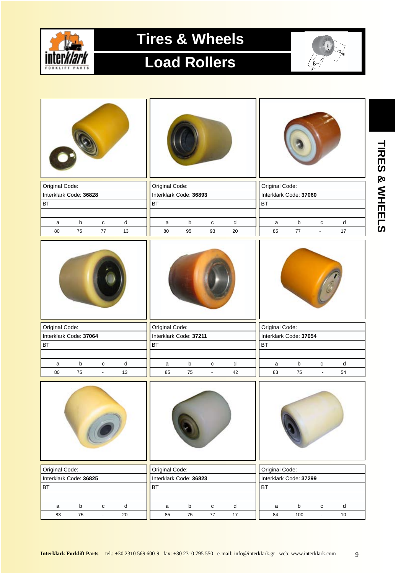

# **Load Rollers**



| Original Code:                            | Original Code:                                           | Original Code:                                        |
|-------------------------------------------|----------------------------------------------------------|-------------------------------------------------------|
| Interklark Code: 36828                    | Interklark Code: 36893                                   | Interklark Code: 37060                                |
| BT                                        | <b>BT</b>                                                | BT                                                    |
|                                           |                                                          |                                                       |
| b<br>${\sf d}$<br>$\mathbf c$<br>a        | $\sf b$<br>${\sf d}$<br>C<br>$\mathsf{a}$                | b<br>$\operatorname{\mathsf{d}}$<br>$\mathbf{C}$<br>a |
| 75<br>$77\,$<br>13<br>80                  | 95<br>80<br>93<br>20                                     | $17\,$<br>85<br>77<br>$\blacksquare$                  |
|                                           |                                                          |                                                       |
| Original Code:                            | Original Code:                                           | Original Code:                                        |
| Interklark Code: 37064                    | Interklark Code: 37211                                   | Interklark Code: 37054                                |
| <b>BT</b>                                 | <b>BT</b>                                                | <b>BT</b>                                             |
|                                           |                                                          |                                                       |
| $\sf b$<br>${\sf d}$<br>a<br>$\mathbf{C}$ | $\sf b$<br>${\sf d}$<br>$\mathbf{C}$<br>a                | b<br>d<br>$\mathbf{C}$<br>a                           |
| 80<br>75<br>13<br>÷.                      | 75<br>42<br>85<br>$\Box$                                 | 83<br>75<br>54<br>$\Box$                              |
|                                           |                                                          |                                                       |
| Original Code:                            | Original Code:                                           | Original Code:                                        |
| Interklark Code: 36825                    | Interklark Code: 36823                                   | Interklark Code: 37299                                |
| <b>BT</b>                                 | <b>BT</b>                                                | BT                                                    |
|                                           |                                                          |                                                       |
| $\sf b$<br>d<br>a<br>${\bf c}$            | $\mathsf b$<br>${\sf d}$<br>$\mathtt{C}$<br>$\mathsf{a}$ | $\mathsf b$<br>${\bf c}$<br>d<br>a                    |
| 75<br>83<br>$20\,$<br>$\Box$              | 85<br>${\bf 75}$<br>$77\,$<br>$17\,$                     | 84<br>100<br>$10\,$<br>$\omega$                       |

9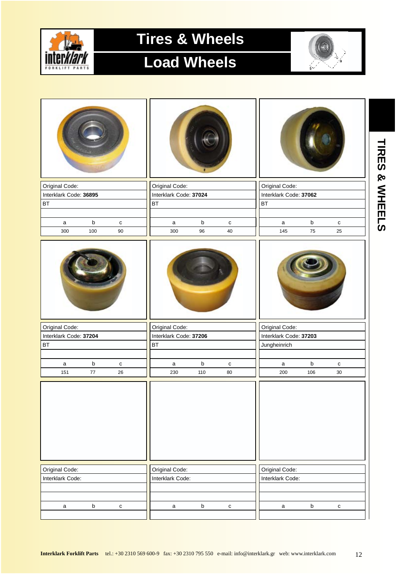

# **Load Wheels**



| Original Code:         |             |              | Original Code:         |         |              | Original Code:         |             |              |
|------------------------|-------------|--------------|------------------------|---------|--------------|------------------------|-------------|--------------|
| Interklark Code: 36895 |             |              | Interklark Code: 37024 |         |              | Interklark Code: 37062 |             |              |
| <b>BT</b>              |             |              | BT                     |         |              | BT                     |             |              |
| $\mathsf a$            | $\sf b$     | $\mathtt{C}$ | $\mathsf a$            | $\sf b$ | $\mathtt{C}$ | $\mathsf{a}$           | $\mathsf b$ | $\mathtt{C}$ |
| 300                    | 100         | $90\,$       | 300                    | 96      | 40           | 145                    | 75          | 25           |
|                        |             |              |                        |         |              |                        |             |              |
| Original Code:         |             |              | Original Code:         |         |              | Original Code:         |             |              |
| Interklark Code: 37204 |             |              | Interklark Code: 37206 |         |              | Interklark Code: 37203 |             |              |
| <b>BT</b>              |             |              | <b>BT</b>              |         |              | Jungheinrich           |             |              |
| a                      | $\mathsf b$ | $\mathtt{C}$ | $\mathsf a$            | $\sf b$ | $\mathtt{C}$ | $\mathsf a$            | $\mathsf b$ | $\mathbf{C}$ |
| 151                    | $77\,$      | 26           | 230                    | 110     | 80           | 200                    | 106         | $30\,$       |
|                        |             |              |                        |         |              |                        |             |              |
| Original Code:         |             |              | Original Code:         |         |              | Original Code:         |             |              |
| Interklark Code:       |             |              | Interklark Code:       |         |              | Interklark Code:       |             |              |
|                        |             |              |                        |         |              |                        |             |              |
| $\mathsf{a}$           | $\mathsf b$ | $\mathbf c$  | $\mathsf{a}$           | $\sf b$ | ${\bf c}$    | $\mathsf{a}$           | $\mathsf b$ | ${\tt c}$    |
|                        |             |              |                        |         |              |                        |             |              |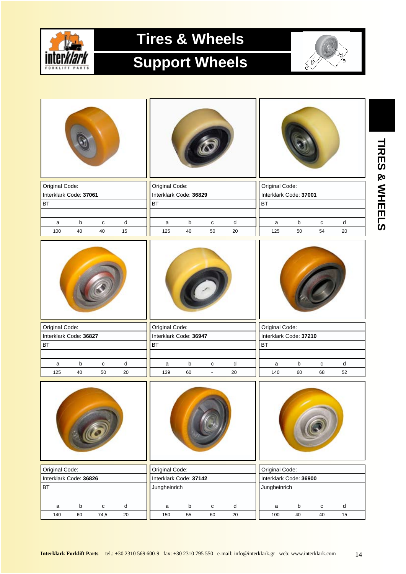

# **Support Wheels**



| Original Code:                           |         |              |                             | Original Code:                           |             |                |                             | Original Code:                           |         |              |                             |  |
|------------------------------------------|---------|--------------|-----------------------------|------------------------------------------|-------------|----------------|-----------------------------|------------------------------------------|---------|--------------|-----------------------------|--|
| Interklark Code: 37061                   |         |              |                             | Interklark Code: 36829                   |             |                |                             | Interklark Code: 37001                   |         |              |                             |  |
| <b>BT</b>                                |         |              |                             | BT                                       |             |                |                             | BT                                       |         |              |                             |  |
|                                          |         |              |                             |                                          |             |                |                             |                                          |         |              |                             |  |
| a                                        | $\sf b$ | $\mathbf{C}$ | ${\sf d}$                   | $\mathsf a$                              | $\mathsf b$ | ${\bf c}$      | d                           | a                                        | $\sf b$ | $\mathtt{C}$ | ${\sf d}$                   |  |
| 100                                      | 40      | 40           | 15                          | 125                                      | 40          | 50             | 20                          | 125                                      | 50      | 54           | 20                          |  |
|                                          |         |              |                             |                                          |             |                |                             |                                          |         |              |                             |  |
| Original Code:                           |         |              |                             | Original Code:                           |             |                |                             | Original Code:                           |         |              |                             |  |
| Interklark Code: 36827                   |         |              |                             | Interklark Code: 36947                   |             |                |                             | Interklark Code: 37210                   |         |              |                             |  |
| <b>BT</b>                                |         |              |                             | <b>BT</b>                                |             |                |                             | BT                                       |         |              |                             |  |
|                                          |         |              |                             |                                          |             |                |                             |                                          |         |              |                             |  |
|                                          |         |              |                             |                                          |             |                |                             |                                          |         |              |                             |  |
| a                                        | b       | $\mathbf{C}$ | ${\sf d}$                   | $\mathsf a$                              | b           | C              | d                           | a                                        | b       | $\mathtt{C}$ | d                           |  |
| 125                                      | 40      | 50           | 20                          | 139                                      | 60          | $\blacksquare$ | 20                          | 140                                      | 60      | 68           | 52                          |  |
|                                          |         |              |                             |                                          |             |                |                             |                                          |         |              |                             |  |
|                                          |         |              |                             |                                          |             |                |                             |                                          |         |              |                             |  |
| Original Code:<br>Interklark Code: 36826 |         |              |                             | Original Code:<br>Interklark Code: 37142 |             |                |                             | Original Code:<br>Interklark Code: 36900 |         |              |                             |  |
| <b>BT</b>                                |         |              |                             | Jungheinrich                             |             |                |                             | Jungheinrich                             |         |              |                             |  |
| $\mathsf a$                              | $\sf b$ | $\mathtt{C}$ | $\operatorname{\mathsf{d}}$ | $\mathsf a$                              | $\sf b$     | ${\bf c}$      | $\operatorname{\mathsf{d}}$ | $\mathsf{a}$                             | $\sf b$ | ${\bf C}$    | $\operatorname{\mathsf{d}}$ |  |